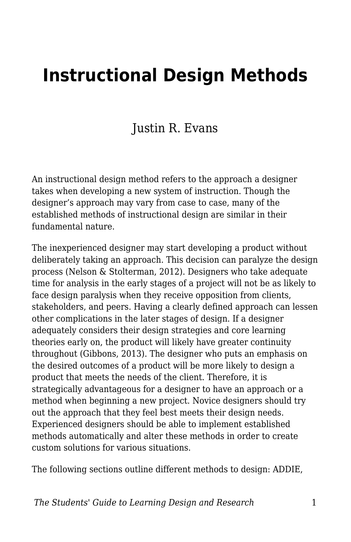# **Instructional Design Methods**

#### Justin R. Evans

An instructional design method refers to the approach a designer takes when developing a new system of instruction. Though the designer's approach may vary from case to case, many of the established methods of instructional design are similar in their fundamental nature.

The inexperienced designer may start developing a product without deliberately taking an approach. This decision can paralyze the design process (Nelson & Stolterman, 2012). Designers who take adequate time for analysis in the early stages of a project will not be as likely to face design paralysis when they receive opposition from clients, stakeholders, and peers. Having a clearly defined approach can lessen other complications in the later stages of design. If a designer adequately considers their design strategies and core learning theories early on, the product will likely have greater continuity throughout (Gibbons, 2013). The designer who puts an emphasis on the desired outcomes of a product will be more likely to design a product that meets the needs of the client. Therefore, it is strategically advantageous for a designer to have an approach or a method when beginning a new project. Novice designers should try out the approach that they feel best meets their design needs. Experienced designers should be able to implement established methods automatically and alter these methods in order to create custom solutions for various situations.

The following sections outline different methods to design: ADDIE,

*The Students' Guide to Learning Design and Research* 1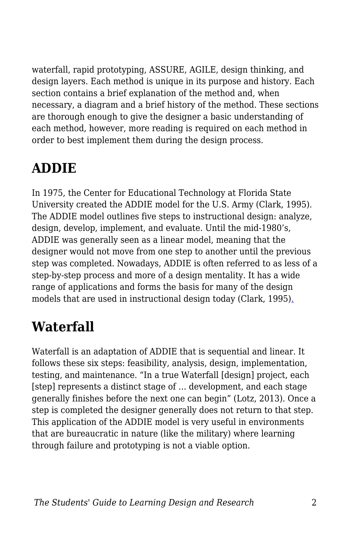waterfall, rapid prototyping, ASSURE, AGILE, design thinking, and design layers. Each method is unique in its purpose and history. Each section contains a brief explanation of the method and, when necessary, a diagram and a brief history of the method. These sections are thorough enough to give the designer a basic understanding of each method, however, more reading is required on each method in order to best implement them during the design process.

## **ADDIE**

In 1975, the Center for Educational Technology at Florida State University created the ADDIE model for the U.S. Army (Clark, 1995). The ADDIE model outlines five steps to instructional design: analyze, design, develop, implement, and evaluate. Until the mid-1980's, ADDIE was generally seen as a linear model, meaning that the designer would not move from one step to another until the previous step was completed. Nowadays, ADDIE is often referred to as less of a step-by-step process and more of a design mentality. It has a wide range of applications and forms the basis for many of the design models that are used in instructional design today (Clark, 1995)[.](http://www.nwlink.com/~donclark/history_isd/addie.html))

## **Waterfall**

Waterfall is an adaptation of ADDIE that is sequential and linear. It follows these six steps: feasibility, analysis, design, implementation, testing, and maintenance. "In a true Waterfall [design] project, each [step] represents a distinct stage of … development, and each stage generally finishes before the next one can begin" (Lotz, 2013). Once a step is completed the designer generally does not return to that step. This application of the ADDIE model is very useful in environments that are bureaucratic in nature (like the military) where learning through failure and prototyping is not a viable option.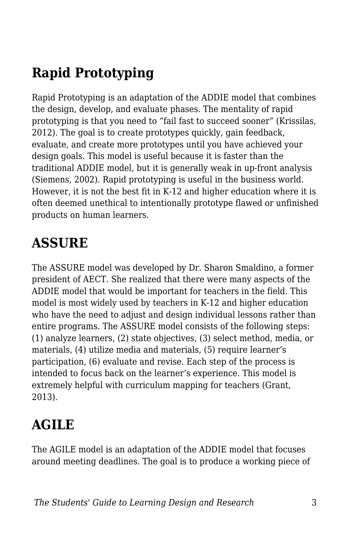## **Rapid Prototyping**

Rapid Prototyping is an adaptation of the ADDIE model that combines the design, develop, and evaluate phases. The mentality of rapid prototyping is that you need to "fail fast to succeed sooner" (Krissilas, 2012). The goal is to create prototypes quickly, gain feedback, evaluate, and create more prototypes until you have achieved your design goals. This model is useful because it is faster than the traditional ADDIE model, but it is generally weak in up-front analysis (Siemens, 2002). Rapid prototyping is useful in the business world. However, it is not the best fit in K-12 and higher education where it is often deemed unethical to intentionally prototype flawed or unfinished products on human learners.

#### **ASSURE**

The ASSURE model was developed by Dr. Sharon Smaldino, a former president of AECT. She realized that there were many aspects of the ADDIE model that would be important for teachers in the field. This model is most widely used by teachers in K-12 and higher education who have the need to adjust and design individual lessons rather than entire programs. The ASSURE model consists of the following steps: (1) analyze learners, (2) state objectives, (3) select method, media, or materials, (4) utilize media and materials, (5) require learner's participation, (6) evaluate and revise. Each step of the process is intended to focus back on the learner's experience. This model is extremely helpful with curriculum mapping for teachers (Grant, 2013).

### **AGILE**

The AGILE model is an adaptation of the ADDIE model that focuses around meeting deadlines. The goal is to produce a working piece of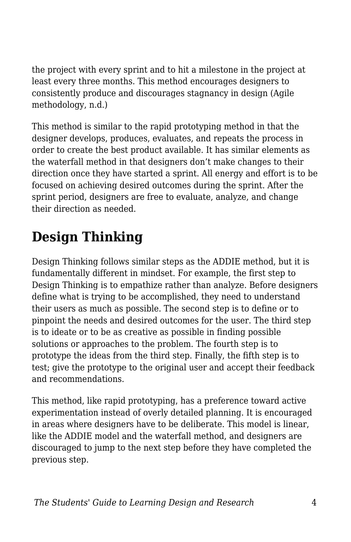the project with every sprint and to hit a milestone in the project at least every three months. This method encourages designers to consistently produce and discourages stagnancy in design (Agile methodology, n.d.)

This method is similar to the rapid prototyping method in that the designer develops, produces, evaluates, and repeats the process in order to create the best product available. It has similar elements as the waterfall method in that designers don't make changes to their direction once they have started a sprint. All energy and effort is to be focused on achieving desired outcomes during the sprint. After the sprint period, designers are free to evaluate, analyze, and change their direction as needed.

# **Design Thinking**

Design Thinking follows similar steps as the ADDIE method, but it is fundamentally different in mindset. For example, the first step to Design Thinking is to empathize rather than analyze. Before designers define what is trying to be accomplished, they need to understand their users as much as possible. The second step is to define or to pinpoint the needs and desired outcomes for the user. The third step is to ideate or to be as creative as possible in finding possible solutions or approaches to the problem. The fourth step is to prototype the ideas from the third step. Finally, the fifth step is to test; give the prototype to the original user and accept their feedback and recommendations.

This method, like rapid prototyping, has a preference toward active experimentation instead of overly detailed planning. It is encouraged in areas where designers have to be deliberate. This model is linear, like the ADDIE model and the waterfall method, and designers are discouraged to jump to the next step before they have completed the previous step.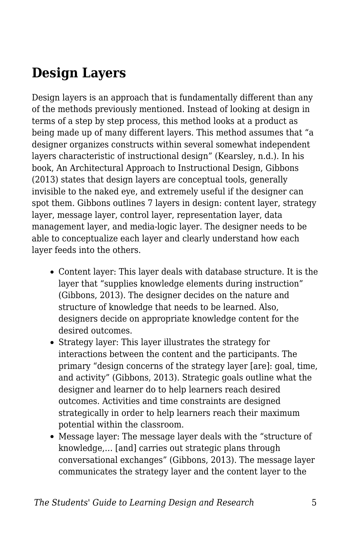#### **Design Layers**

Design layers is an approach that is fundamentally different than any of the methods previously mentioned. Instead of looking at design in terms of a step by step process, this method looks at a product as being made up of many different layers. This method assumes that "a designer organizes constructs within several somewhat independent layers characteristic of instructional design" (Kearsley, n.d.). In his book, An Architectural Approach to Instructional Design, Gibbons (2013) states that design layers are conceptual tools, generally invisible to the naked eye, and extremely useful if the designer can spot them. Gibbons outlines 7 layers in design: content layer, strategy layer, message layer, control layer, representation layer, data management layer, and media-logic layer. The designer needs to be able to conceptualize each layer and clearly understand how each layer feeds into the others.

- Content layer: This layer deals with database structure. It is the layer that "supplies knowledge elements during instruction" (Gibbons, 2013). The designer decides on the nature and structure of knowledge that needs to be learned. Also, designers decide on appropriate knowledge content for the desired outcomes.
- Strategy layer: This layer illustrates the strategy for interactions between the content and the participants. The primary "design concerns of the strategy layer [are]: goal, time, and activity" (Gibbons, 2013). Strategic goals outline what the designer and learner do to help learners reach desired outcomes. Activities and time constraints are designed strategically in order to help learners reach their maximum potential within the classroom.
- Message layer: The message layer deals with the "structure of knowledge,… [and] carries out strategic plans through conversational exchanges" (Gibbons, 2013). The message layer communicates the strategy layer and the content layer to the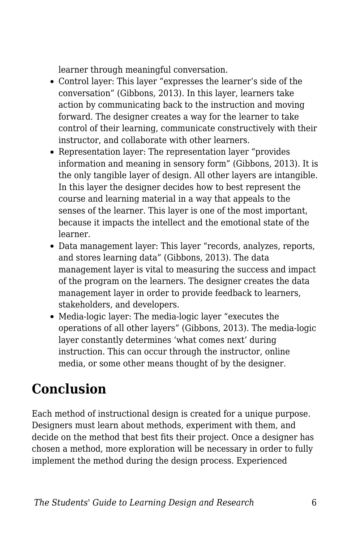learner through meaningful conversation.

- Control layer: This layer "expresses the learner's side of the conversation" (Gibbons, 2013). In this layer, learners take action by communicating back to the instruction and moving forward. The designer creates a way for the learner to take control of their learning, communicate constructively with their instructor, and collaborate with other learners.
- Representation layer: The representation layer "provides information and meaning in sensory form" (Gibbons, 2013). It is the only tangible layer of design. All other layers are intangible. In this layer the designer decides how to best represent the course and learning material in a way that appeals to the senses of the learner. This layer is one of the most important, because it impacts the intellect and the emotional state of the learner.
- Data management layer: This layer "records, analyzes, reports, and stores learning data" (Gibbons, 2013). The data management layer is vital to measuring the success and impact of the program on the learners. The designer creates the data management layer in order to provide feedback to learners, stakeholders, and developers.
- Media-logic layer: The media-logic layer "executes the operations of all other layers" (Gibbons, 2013). The media-logic layer constantly determines 'what comes next' during instruction. This can occur through the instructor, online media, or some other means thought of by the designer.

# **Conclusion**

Each method of instructional design is created for a unique purpose. Designers must learn about methods, experiment with them, and decide on the method that best fits their project. Once a designer has chosen a method, more exploration will be necessary in order to fully implement the method during the design process. Experienced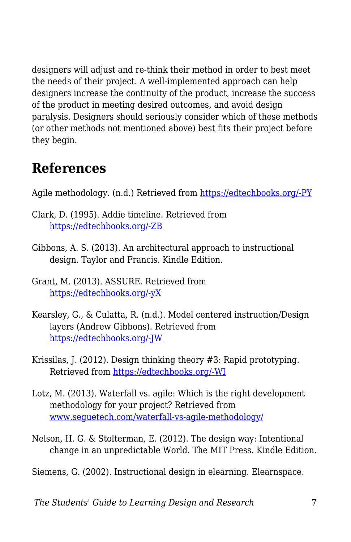designers will adjust and re-think their method in order to best meet the needs of their project. A well-implemented approach can help designers increase the continuity of the product, increase the success of the product in meeting desired outcomes, and avoid design paralysis. Designers should seriously consider which of these methods (or other methods not mentioned above) best fits their project before they begin.

#### **References**

Agile methodology. (n.d.) Retrieved from [https://edtechbooks.org/-PY](https://www.agilest.org/agile-methodology/)

- Clark, D. (1995). Addie timeline. Retrieved from [https://edtechbooks.org/-ZB](http://www.nwlink.com/~donclark/history_isd/addie.html))
- Gibbons, A. S. (2013). An architectural approach to instructional design. Taylor and Francis. Kindle Edition.
- Grant, M. (2013). ASSURE. Retrieved from [https://edtechbooks.org/-yX](http://www.instructionaldesign.org/models/assure.html)
- Kearsley, G., & Culatta, R. (n.d.). Model centered instruction/Design layers (Andrew Gibbons). Retrieved from [https://edtechbooks.org/-JW](http://www.instructionaldesign.org/theories/design-layers.html)
- Krissilas, J. (2012). Design thinking theory #3: Rapid prototyping. Retrieved from [https://edtechbooks.org/-WI](http://www.planningnotepad.com/2012/02/design-thinking-series-3-rapid.html)
- Lotz, M. (2013). Waterfall vs. agile: Which is the right development methodology for your project? Retrieved from [www.seguetech.com/waterfall-vs-agile-methodology/](http://www.seguetech.com/waterfall-vs-agile-methodology/)
- Nelson, H. G. & Stolterman, E. (2012). The design way: Intentional change in an unpredictable World. The MIT Press. Kindle Edition.

Siemens, G. (2002). Instructional design in elearning. Elearnspace.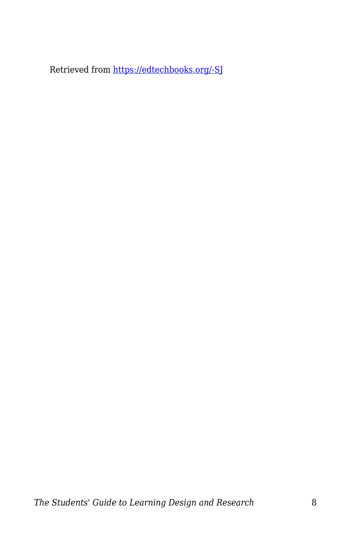Retrieved from [https://edtechbooks.org/-SJ](http://www.elearnspace.org/Articles/InstructionalDesign.htm)